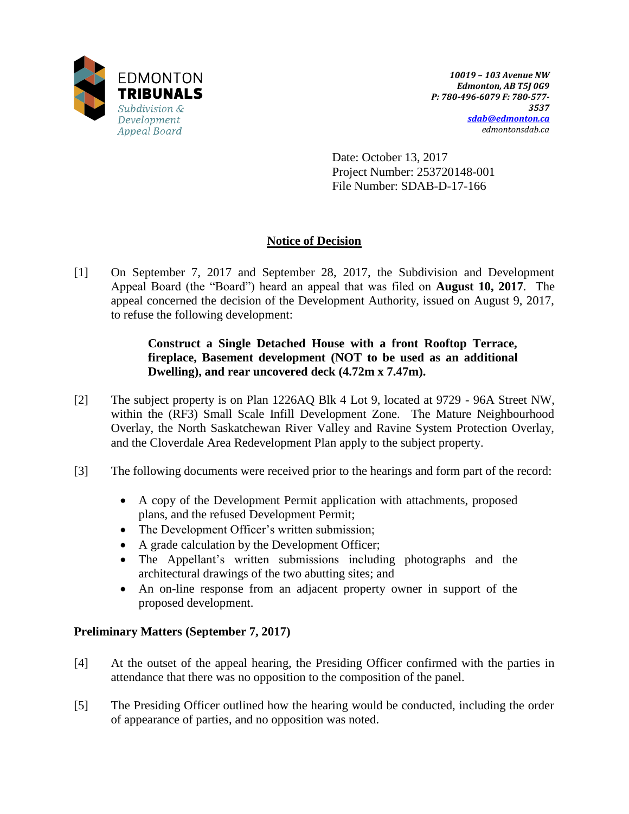

Date: October 13, 2017 Project Number: 253720148-001 File Number: SDAB-D-17-166

# **Notice of Decision**

[1] On September 7, 2017 and September 28, 2017, the Subdivision and Development Appeal Board (the "Board") heard an appeal that was filed on **August 10, 2017**. The appeal concerned the decision of the Development Authority, issued on August 9, 2017, to refuse the following development:

## **Construct a Single Detached House with a front Rooftop Terrace, fireplace, Basement development (NOT to be used as an additional Dwelling), and rear uncovered deck (4.72m x 7.47m).**

- [2] The subject property is on Plan 1226AQ Blk 4 Lot 9, located at 9729 96A Street NW, within the (RF3) Small Scale Infill Development Zone. The Mature Neighbourhood Overlay, the North Saskatchewan River Valley and Ravine System Protection Overlay, and the Cloverdale Area Redevelopment Plan apply to the subject property.
- [3] The following documents were received prior to the hearings and form part of the record:
	- A copy of the Development Permit application with attachments, proposed plans, and the refused Development Permit;
	- The Development Officer's written submission;
	- A grade calculation by the Development Officer;
	- The Appellant's written submissions including photographs and the architectural drawings of the two abutting sites; and
	- An on-line response from an adjacent property owner in support of the proposed development.

## **Preliminary Matters (September 7, 2017)**

- [4] At the outset of the appeal hearing, the Presiding Officer confirmed with the parties in attendance that there was no opposition to the composition of the panel.
- [5] The Presiding Officer outlined how the hearing would be conducted, including the order of appearance of parties, and no opposition was noted.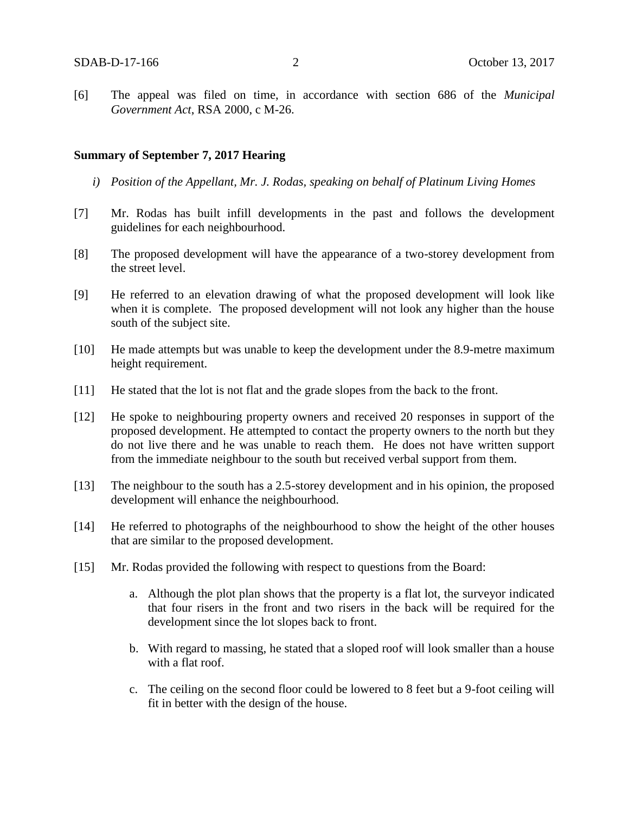[6] The appeal was filed on time, in accordance with section 686 of the *Municipal Government Act*, RSA 2000, c M-26.

#### **Summary of September 7, 2017 Hearing**

- *i) Position of the Appellant, Mr. J. Rodas, speaking on behalf of Platinum Living Homes*
- [7] Mr. Rodas has built infill developments in the past and follows the development guidelines for each neighbourhood.
- [8] The proposed development will have the appearance of a two-storey development from the street level.
- [9] He referred to an elevation drawing of what the proposed development will look like when it is complete. The proposed development will not look any higher than the house south of the subject site.
- [10] He made attempts but was unable to keep the development under the 8.9-metre maximum height requirement.
- [11] He stated that the lot is not flat and the grade slopes from the back to the front.
- [12] He spoke to neighbouring property owners and received 20 responses in support of the proposed development. He attempted to contact the property owners to the north but they do not live there and he was unable to reach them. He does not have written support from the immediate neighbour to the south but received verbal support from them.
- [13] The neighbour to the south has a 2.5-storey development and in his opinion, the proposed development will enhance the neighbourhood.
- [14] He referred to photographs of the neighbourhood to show the height of the other houses that are similar to the proposed development.
- [15] Mr. Rodas provided the following with respect to questions from the Board:
	- a. Although the plot plan shows that the property is a flat lot, the surveyor indicated that four risers in the front and two risers in the back will be required for the development since the lot slopes back to front.
	- b. With regard to massing, he stated that a sloped roof will look smaller than a house with a flat roof.
	- c. The ceiling on the second floor could be lowered to 8 feet but a 9-foot ceiling will fit in better with the design of the house.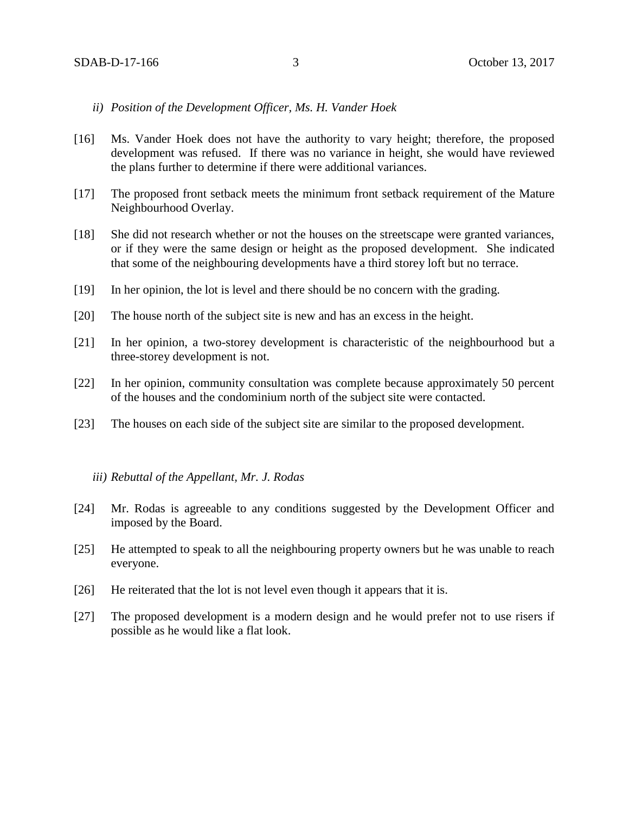## *ii) Position of the Development Officer, Ms. H. Vander Hoek*

- [16] Ms. Vander Hoek does not have the authority to vary height; therefore, the proposed development was refused. If there was no variance in height, she would have reviewed the plans further to determine if there were additional variances.
- [17] The proposed front setback meets the minimum front setback requirement of the Mature Neighbourhood Overlay.
- [18] She did not research whether or not the houses on the streetscape were granted variances, or if they were the same design or height as the proposed development. She indicated that some of the neighbouring developments have a third storey loft but no terrace.
- [19] In her opinion, the lot is level and there should be no concern with the grading.
- [20] The house north of the subject site is new and has an excess in the height.
- [21] In her opinion, a two-storey development is characteristic of the neighbourhood but a three-storey development is not.
- [22] In her opinion, community consultation was complete because approximately 50 percent of the houses and the condominium north of the subject site were contacted.
- [23] The houses on each side of the subject site are similar to the proposed development.

## *iii) Rebuttal of the Appellant, Mr. J. Rodas*

- [24] Mr. Rodas is agreeable to any conditions suggested by the Development Officer and imposed by the Board.
- [25] He attempted to speak to all the neighbouring property owners but he was unable to reach everyone.
- [26] He reiterated that the lot is not level even though it appears that it is.
- [27] The proposed development is a modern design and he would prefer not to use risers if possible as he would like a flat look.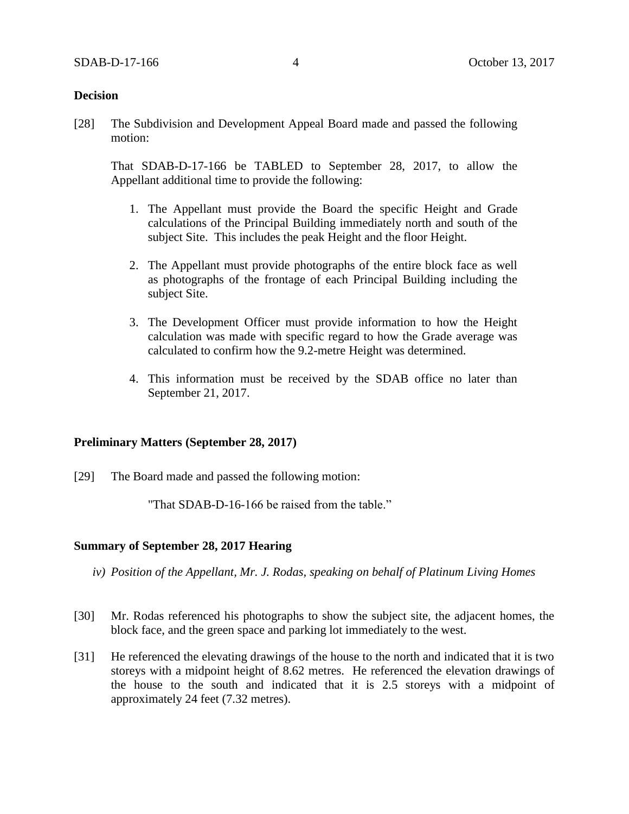## **Decision**

[28] The Subdivision and Development Appeal Board made and passed the following motion:

That SDAB-D-17-166 be TABLED to September 28, 2017, to allow the Appellant additional time to provide the following:

- 1. The Appellant must provide the Board the specific Height and Grade calculations of the Principal Building immediately north and south of the subject Site. This includes the peak Height and the floor Height.
- 2. The Appellant must provide photographs of the entire block face as well as photographs of the frontage of each Principal Building including the subject Site.
- 3. The Development Officer must provide information to how the Height calculation was made with specific regard to how the Grade average was calculated to confirm how the 9.2-metre Height was determined.
- 4. This information must be received by the SDAB office no later than September 21, 2017.

## **Preliminary Matters (September 28, 2017)**

[29] The Board made and passed the following motion:

"That SDAB-D-16-166 be raised from the table."

## **Summary of September 28, 2017 Hearing**

- *iv) Position of the Appellant, Mr. J. Rodas, speaking on behalf of Platinum Living Homes*
- [30] Mr. Rodas referenced his photographs to show the subject site, the adjacent homes, the block face, and the green space and parking lot immediately to the west.
- [31] He referenced the elevating drawings of the house to the north and indicated that it is two storeys with a midpoint height of 8.62 metres. He referenced the elevation drawings of the house to the south and indicated that it is 2.5 storeys with a midpoint of approximately 24 feet (7.32 metres).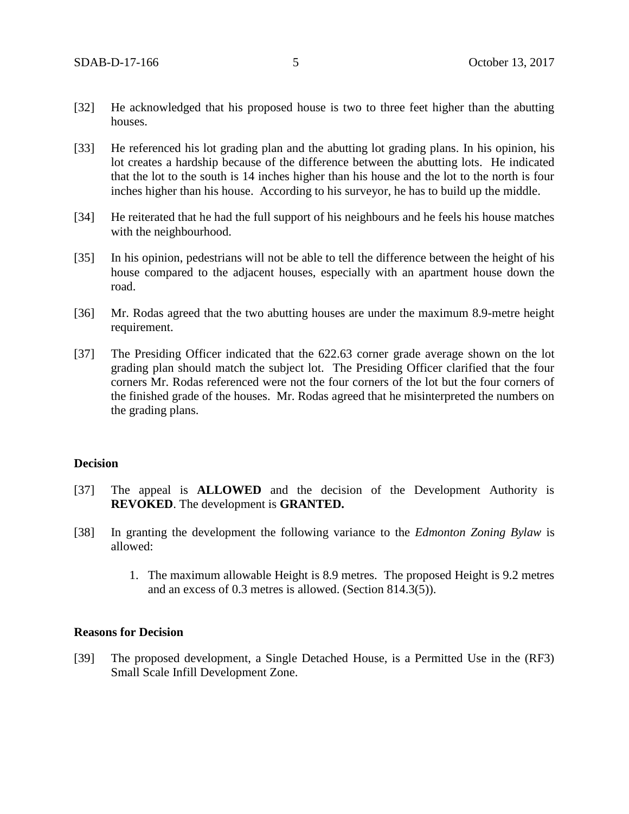- [32] He acknowledged that his proposed house is two to three feet higher than the abutting houses.
- [33] He referenced his lot grading plan and the abutting lot grading plans. In his opinion, his lot creates a hardship because of the difference between the abutting lots. He indicated that the lot to the south is 14 inches higher than his house and the lot to the north is four inches higher than his house. According to his surveyor, he has to build up the middle.
- [34] He reiterated that he had the full support of his neighbours and he feels his house matches with the neighbourhood.
- [35] In his opinion, pedestrians will not be able to tell the difference between the height of his house compared to the adjacent houses, especially with an apartment house down the road.
- [36] Mr. Rodas agreed that the two abutting houses are under the maximum 8.9-metre height requirement.
- [37] The Presiding Officer indicated that the 622.63 corner grade average shown on the lot grading plan should match the subject lot. The Presiding Officer clarified that the four corners Mr. Rodas referenced were not the four corners of the lot but the four corners of the finished grade of the houses. Mr. Rodas agreed that he misinterpreted the numbers on the grading plans.

## **Decision**

- [37] The appeal is **ALLOWED** and the decision of the Development Authority is **REVOKED**. The development is **GRANTED.**
- [38] In granting the development the following variance to the *Edmonton Zoning Bylaw* is allowed:
	- 1. The maximum allowable Height is 8.9 metres. The proposed Height is 9.2 metres and an excess of 0.3 metres is allowed. (Section 814.3(5)).

#### **Reasons for Decision**

[39] The proposed development, a Single Detached House, is a Permitted Use in the (RF3) Small Scale Infill Development Zone.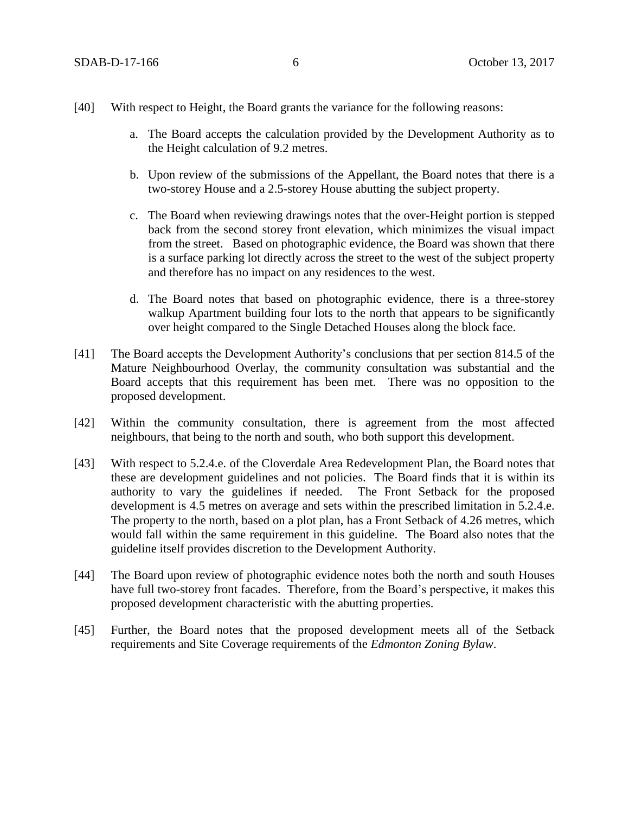- a. The Board accepts the calculation provided by the Development Authority as to the Height calculation of 9.2 metres.
- b. Upon review of the submissions of the Appellant, the Board notes that there is a two-storey House and a 2.5-storey House abutting the subject property.
- c. The Board when reviewing drawings notes that the over-Height portion is stepped back from the second storey front elevation, which minimizes the visual impact from the street. Based on photographic evidence, the Board was shown that there is a surface parking lot directly across the street to the west of the subject property and therefore has no impact on any residences to the west.
- d. The Board notes that based on photographic evidence, there is a three-storey walkup Apartment building four lots to the north that appears to be significantly over height compared to the Single Detached Houses along the block face.
- [41] The Board accepts the Development Authority's conclusions that per section 814.5 of the Mature Neighbourhood Overlay, the community consultation was substantial and the Board accepts that this requirement has been met. There was no opposition to the proposed development.
- [42] Within the community consultation, there is agreement from the most affected neighbours, that being to the north and south, who both support this development.
- [43] With respect to 5.2.4.e. of the Cloverdale Area Redevelopment Plan, the Board notes that these are development guidelines and not policies. The Board finds that it is within its authority to vary the guidelines if needed. The Front Setback for the proposed development is 4.5 metres on average and sets within the prescribed limitation in 5.2.4.e. The property to the north, based on a plot plan, has a Front Setback of 4.26 metres, which would fall within the same requirement in this guideline. The Board also notes that the guideline itself provides discretion to the Development Authority.
- [44] The Board upon review of photographic evidence notes both the north and south Houses have full two-storey front facades. Therefore, from the Board's perspective, it makes this proposed development characteristic with the abutting properties.
- [45] Further, the Board notes that the proposed development meets all of the Setback requirements and Site Coverage requirements of the *Edmonton Zoning Bylaw*.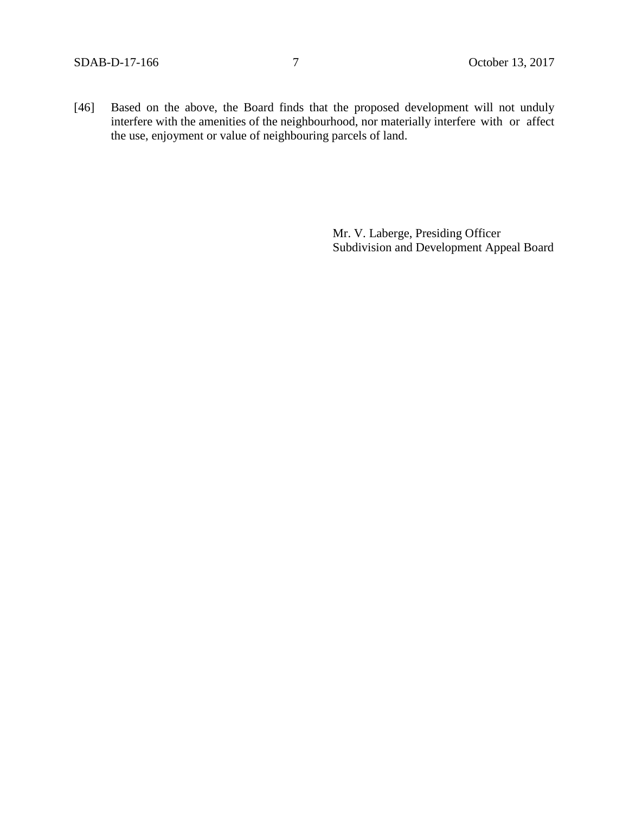[46] Based on the above, the Board finds that the proposed development will not unduly interfere with the amenities of the neighbourhood, nor materially interfere with or affect the use, enjoyment or value of neighbouring parcels of land.

> Mr. V. Laberge, Presiding Officer Subdivision and Development Appeal Board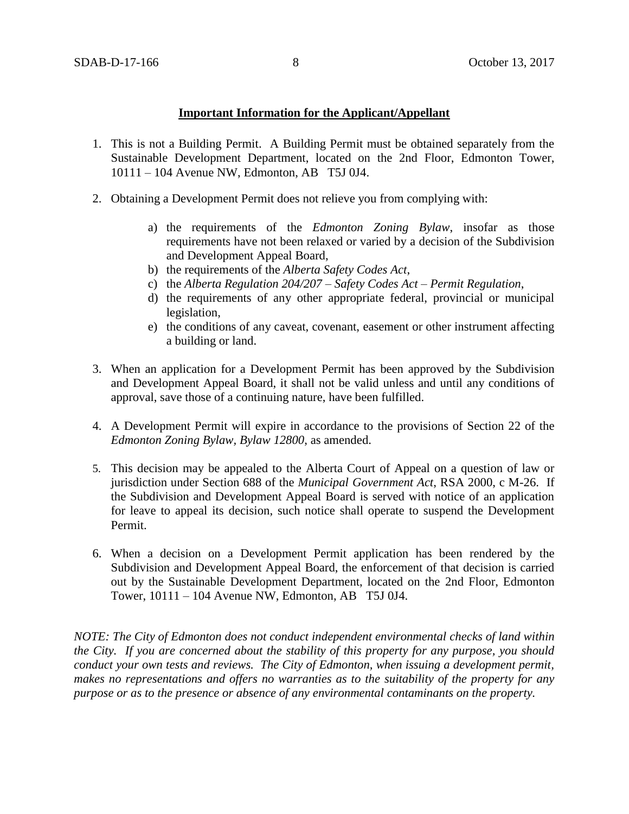## **Important Information for the Applicant/Appellant**

- 1. This is not a Building Permit. A Building Permit must be obtained separately from the Sustainable Development Department, located on the 2nd Floor, Edmonton Tower, 10111 – 104 Avenue NW, Edmonton, AB T5J 0J4.
- 2. Obtaining a Development Permit does not relieve you from complying with:
	- a) the requirements of the *Edmonton Zoning Bylaw*, insofar as those requirements have not been relaxed or varied by a decision of the Subdivision and Development Appeal Board,
	- b) the requirements of the *Alberta Safety Codes Act*,
	- c) the *Alberta Regulation 204/207 – Safety Codes Act – Permit Regulation*,
	- d) the requirements of any other appropriate federal, provincial or municipal legislation,
	- e) the conditions of any caveat, covenant, easement or other instrument affecting a building or land.
- 3. When an application for a Development Permit has been approved by the Subdivision and Development Appeal Board, it shall not be valid unless and until any conditions of approval, save those of a continuing nature, have been fulfilled.
- 4. A Development Permit will expire in accordance to the provisions of Section 22 of the *Edmonton Zoning Bylaw, Bylaw 12800*, as amended.
- 5. This decision may be appealed to the Alberta Court of Appeal on a question of law or jurisdiction under Section 688 of the *Municipal Government Act*, RSA 2000, c M-26. If the Subdivision and Development Appeal Board is served with notice of an application for leave to appeal its decision, such notice shall operate to suspend the Development Permit.
- 6. When a decision on a Development Permit application has been rendered by the Subdivision and Development Appeal Board, the enforcement of that decision is carried out by the Sustainable Development Department, located on the 2nd Floor, Edmonton Tower, 10111 – 104 Avenue NW, Edmonton, AB T5J 0J4.

*NOTE: The City of Edmonton does not conduct independent environmental checks of land within the City. If you are concerned about the stability of this property for any purpose, you should conduct your own tests and reviews. The City of Edmonton, when issuing a development permit, makes no representations and offers no warranties as to the suitability of the property for any purpose or as to the presence or absence of any environmental contaminants on the property.*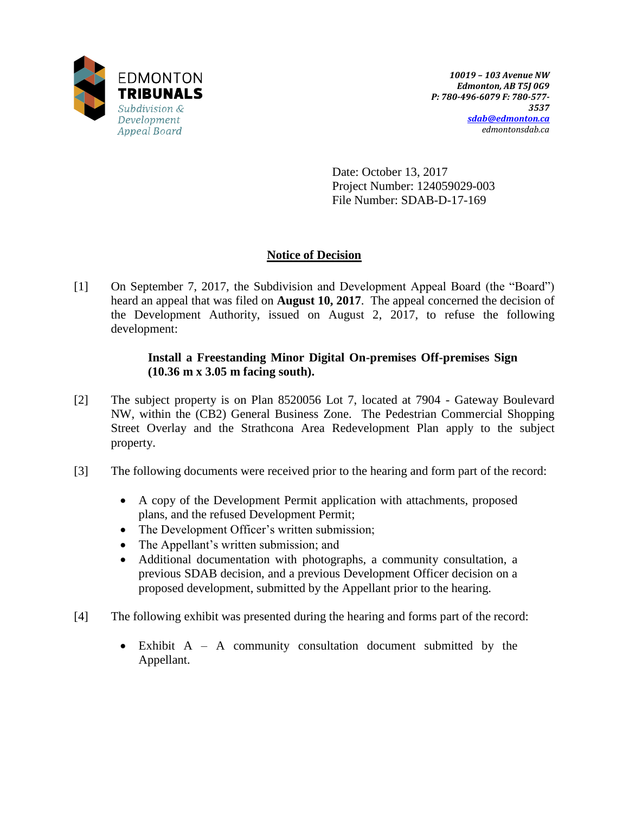

Date: October 13, 2017 Project Number: 124059029-003 File Number: SDAB-D-17-169

## **Notice of Decision**

[1] On September 7, 2017, the Subdivision and Development Appeal Board (the "Board") heard an appeal that was filed on **August 10, 2017**. The appeal concerned the decision of the Development Authority, issued on August 2, 2017, to refuse the following development:

## **Install a Freestanding Minor Digital On-premises Off-premises Sign (10.36 m x 3.05 m facing south).**

- [2] The subject property is on Plan 8520056 Lot 7, located at 7904 Gateway Boulevard NW, within the (CB2) General Business Zone. The Pedestrian Commercial Shopping Street Overlay and the Strathcona Area Redevelopment Plan apply to the subject property.
- [3] The following documents were received prior to the hearing and form part of the record:
	- A copy of the Development Permit application with attachments, proposed plans, and the refused Development Permit;
	- The Development Officer's written submission;
	- The Appellant's written submission; and
	- Additional documentation with photographs, a community consultation, a previous SDAB decision, and a previous Development Officer decision on a proposed development, submitted by the Appellant prior to the hearing.
- [4] The following exhibit was presented during the hearing and forms part of the record:
	- Exhibit A A community consultation document submitted by the Appellant.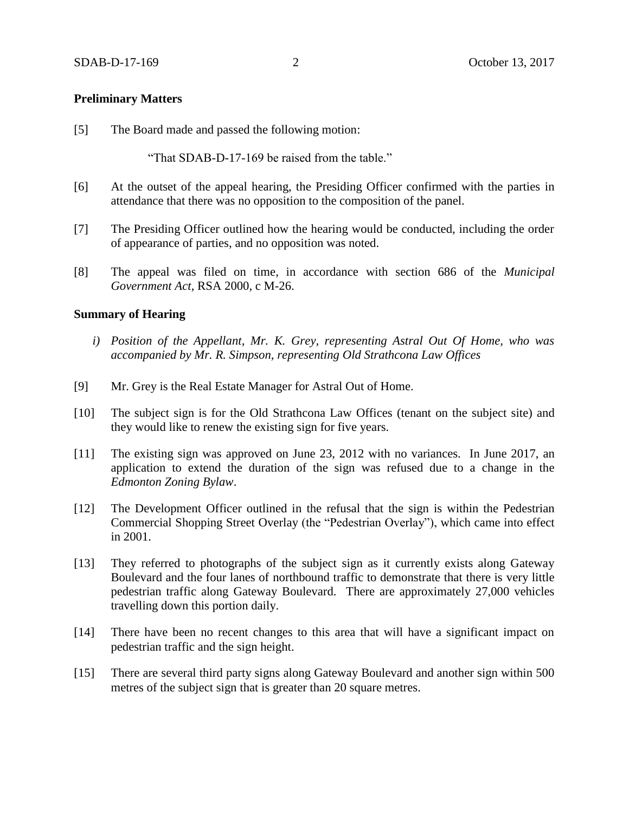## **Preliminary Matters**

[5] The Board made and passed the following motion:

"That SDAB-D-17-169 be raised from the table."

- [6] At the outset of the appeal hearing, the Presiding Officer confirmed with the parties in attendance that there was no opposition to the composition of the panel.
- [7] The Presiding Officer outlined how the hearing would be conducted, including the order of appearance of parties, and no opposition was noted.
- [8] The appeal was filed on time, in accordance with section 686 of the *Municipal Government Act*, RSA 2000, c M-26.

#### **Summary of Hearing**

- *i) Position of the Appellant, Mr. K. Grey, representing Astral Out Of Home, who was accompanied by Mr. R. Simpson, representing Old Strathcona Law Offices*
- [9] Mr. Grey is the Real Estate Manager for Astral Out of Home.
- [10] The subject sign is for the Old Strathcona Law Offices (tenant on the subject site) and they would like to renew the existing sign for five years.
- [11] The existing sign was approved on June 23, 2012 with no variances. In June 2017, an application to extend the duration of the sign was refused due to a change in the *Edmonton Zoning Bylaw*.
- [12] The Development Officer outlined in the refusal that the sign is within the Pedestrian Commercial Shopping Street Overlay (the "Pedestrian Overlay"), which came into effect in 2001.
- [13] They referred to photographs of the subject sign as it currently exists along Gateway Boulevard and the four lanes of northbound traffic to demonstrate that there is very little pedestrian traffic along Gateway Boulevard. There are approximately 27,000 vehicles travelling down this portion daily.
- [14] There have been no recent changes to this area that will have a significant impact on pedestrian traffic and the sign height.
- [15] There are several third party signs along Gateway Boulevard and another sign within 500 metres of the subject sign that is greater than 20 square metres.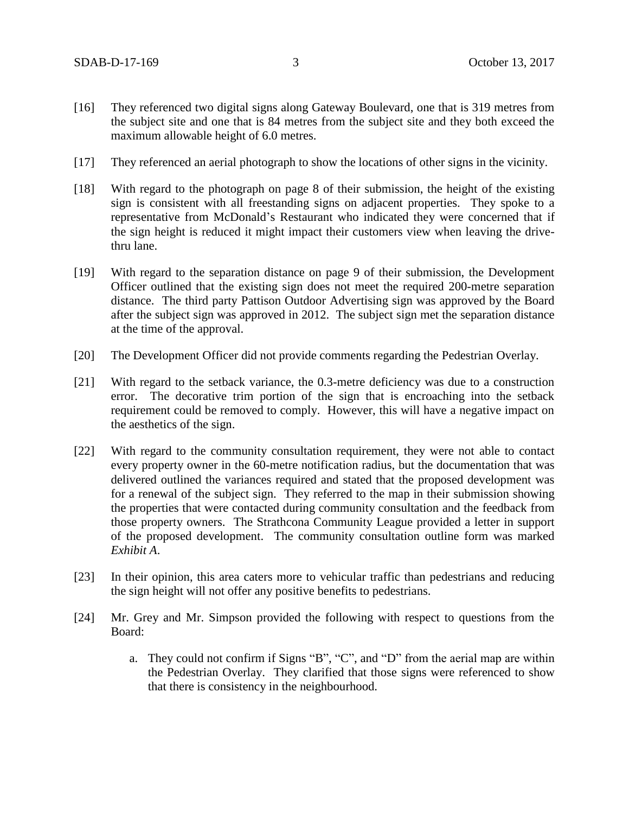- [16] They referenced two digital signs along Gateway Boulevard, one that is 319 metres from the subject site and one that is 84 metres from the subject site and they both exceed the maximum allowable height of 6.0 metres.
- [17] They referenced an aerial photograph to show the locations of other signs in the vicinity.
- [18] With regard to the photograph on page 8 of their submission, the height of the existing sign is consistent with all freestanding signs on adjacent properties. They spoke to a representative from McDonald's Restaurant who indicated they were concerned that if the sign height is reduced it might impact their customers view when leaving the drivethru lane.
- [19] With regard to the separation distance on page 9 of their submission, the Development Officer outlined that the existing sign does not meet the required 200-metre separation distance. The third party Pattison Outdoor Advertising sign was approved by the Board after the subject sign was approved in 2012. The subject sign met the separation distance at the time of the approval.
- [20] The Development Officer did not provide comments regarding the Pedestrian Overlay.
- [21] With regard to the setback variance, the 0.3-metre deficiency was due to a construction error. The decorative trim portion of the sign that is encroaching into the setback requirement could be removed to comply. However, this will have a negative impact on the aesthetics of the sign.
- [22] With regard to the community consultation requirement, they were not able to contact every property owner in the 60-metre notification radius, but the documentation that was delivered outlined the variances required and stated that the proposed development was for a renewal of the subject sign. They referred to the map in their submission showing the properties that were contacted during community consultation and the feedback from those property owners. The Strathcona Community League provided a letter in support of the proposed development. The community consultation outline form was marked *Exhibit A*.
- [23] In their opinion, this area caters more to vehicular traffic than pedestrians and reducing the sign height will not offer any positive benefits to pedestrians.
- [24] Mr. Grey and Mr. Simpson provided the following with respect to questions from the Board:
	- a. They could not confirm if Signs "B", "C", and "D" from the aerial map are within the Pedestrian Overlay. They clarified that those signs were referenced to show that there is consistency in the neighbourhood.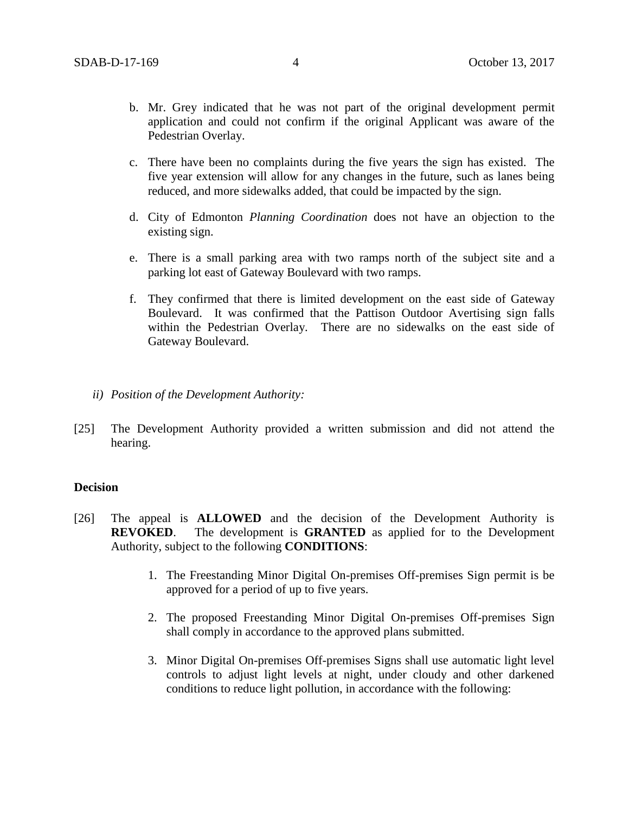- b. Mr. Grey indicated that he was not part of the original development permit application and could not confirm if the original Applicant was aware of the Pedestrian Overlay.
- c. There have been no complaints during the five years the sign has existed. The five year extension will allow for any changes in the future, such as lanes being reduced, and more sidewalks added, that could be impacted by the sign.
- d. City of Edmonton *Planning Coordination* does not have an objection to the existing sign.
- e. There is a small parking area with two ramps north of the subject site and a parking lot east of Gateway Boulevard with two ramps.
- f. They confirmed that there is limited development on the east side of Gateway Boulevard. It was confirmed that the Pattison Outdoor Avertising sign falls within the Pedestrian Overlay. There are no sidewalks on the east side of Gateway Boulevard.
- *ii) Position of the Development Authority:*
- [25] The Development Authority provided a written submission and did not attend the hearing.

## **Decision**

- [26] The appeal is **ALLOWED** and the decision of the Development Authority is **REVOKED**. The development is **GRANTED** as applied for to the Development Authority, subject to the following **CONDITIONS**:
	- 1. The Freestanding Minor Digital On-premises Off-premises Sign permit is be approved for a period of up to five years.
	- 2. The proposed Freestanding Minor Digital On-premises Off-premises Sign shall comply in accordance to the approved plans submitted.
	- 3. Minor Digital On-premises Off-premises Signs shall use automatic light level controls to adjust light levels at night, under cloudy and other darkened conditions to reduce light pollution, in accordance with the following: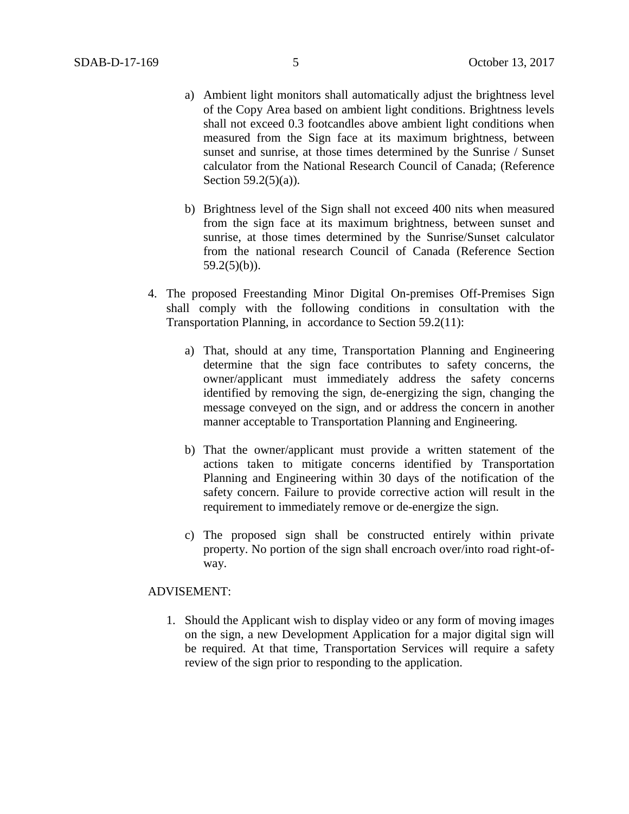- a) Ambient light monitors shall automatically adjust the brightness level of the Copy Area based on ambient light conditions. Brightness levels shall not exceed 0.3 footcandles above ambient light conditions when measured from the Sign face at its maximum brightness, between sunset and sunrise, at those times determined by the Sunrise / Sunset calculator from the National Research Council of Canada; (Reference Section  $59.2(5)(a)$ ).
- b) Brightness level of the Sign shall not exceed 400 nits when measured from the sign face at its maximum brightness, between sunset and sunrise, at those times determined by the Sunrise/Sunset calculator from the national research Council of Canada (Reference Section  $59.2(5)(b)$ ).
- 4. The proposed Freestanding Minor Digital On-premises Off-Premises Sign shall comply with the following conditions in consultation with the Transportation Planning, in accordance to Section 59.2(11):
	- a) That, should at any time, Transportation Planning and Engineering determine that the sign face contributes to safety concerns, the owner/applicant must immediately address the safety concerns identified by removing the sign, de-energizing the sign, changing the message conveyed on the sign, and or address the concern in another manner acceptable to Transportation Planning and Engineering.
	- b) That the owner/applicant must provide a written statement of the actions taken to mitigate concerns identified by Transportation Planning and Engineering within 30 days of the notification of the safety concern. Failure to provide corrective action will result in the requirement to immediately remove or de-energize the sign.
	- c) The proposed sign shall be constructed entirely within private property. No portion of the sign shall encroach over/into road right-ofway.

#### ADVISEMENT:

1. Should the Applicant wish to display video or any form of moving images on the sign, a new Development Application for a major digital sign will be required. At that time, Transportation Services will require a safety review of the sign prior to responding to the application.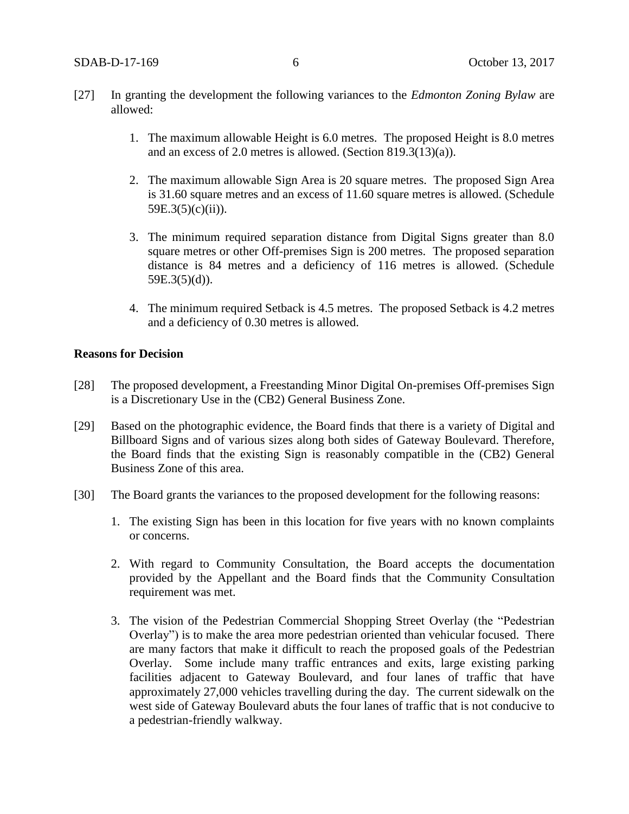- [27] In granting the development the following variances to the *Edmonton Zoning Bylaw* are allowed:
	- 1. The maximum allowable Height is 6.0 metres. The proposed Height is 8.0 metres and an excess of 2.0 metres is allowed. (Section 819.3(13)(a)).
	- 2. The maximum allowable Sign Area is 20 square metres. The proposed Sign Area is 31.60 square metres and an excess of 11.60 square metres is allowed. (Schedule  $59E.3(5)(c)(ii)$ ).
	- 3. The minimum required separation distance from Digital Signs greater than 8.0 square metres or other Off-premises Sign is 200 metres. The proposed separation distance is 84 metres and a deficiency of 116 metres is allowed. (Schedule  $59E.3(5)(d)$ ).
	- 4. The minimum required Setback is 4.5 metres. The proposed Setback is 4.2 metres and a deficiency of 0.30 metres is allowed.

#### **Reasons for Decision**

- [28] The proposed development, a Freestanding Minor Digital On-premises Off-premises Sign is a Discretionary Use in the (CB2) General Business Zone.
- [29] Based on the photographic evidence, the Board finds that there is a variety of Digital and Billboard Signs and of various sizes along both sides of Gateway Boulevard. Therefore, the Board finds that the existing Sign is reasonably compatible in the (CB2) General Business Zone of this area.
- [30] The Board grants the variances to the proposed development for the following reasons:
	- 1. The existing Sign has been in this location for five years with no known complaints or concerns.
	- 2. With regard to Community Consultation, the Board accepts the documentation provided by the Appellant and the Board finds that the Community Consultation requirement was met.
	- 3. The vision of the Pedestrian Commercial Shopping Street Overlay (the "Pedestrian Overlay") is to make the area more pedestrian oriented than vehicular focused. There are many factors that make it difficult to reach the proposed goals of the Pedestrian Overlay. Some include many traffic entrances and exits, large existing parking facilities adjacent to Gateway Boulevard, and four lanes of traffic that have approximately 27,000 vehicles travelling during the day. The current sidewalk on the west side of Gateway Boulevard abuts the four lanes of traffic that is not conducive to a pedestrian-friendly walkway.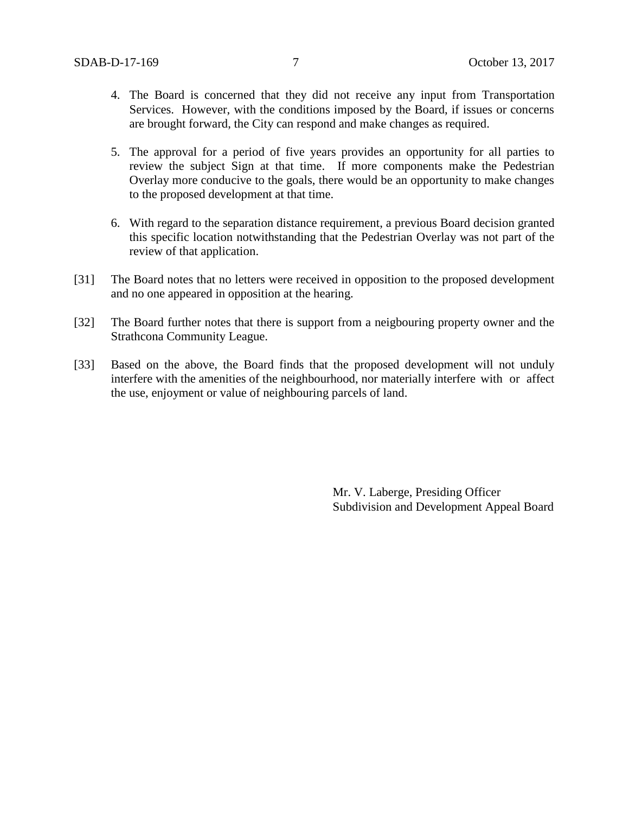- 4. The Board is concerned that they did not receive any input from Transportation Services. However, with the conditions imposed by the Board, if issues or concerns are brought forward, the City can respond and make changes as required.
- 5. The approval for a period of five years provides an opportunity for all parties to review the subject Sign at that time. If more components make the Pedestrian Overlay more conducive to the goals, there would be an opportunity to make changes to the proposed development at that time.
- 6. With regard to the separation distance requirement, a previous Board decision granted this specific location notwithstanding that the Pedestrian Overlay was not part of the review of that application.
- [31] The Board notes that no letters were received in opposition to the proposed development and no one appeared in opposition at the hearing.
- [32] The Board further notes that there is support from a neigbouring property owner and the Strathcona Community League.
- [33] Based on the above, the Board finds that the proposed development will not unduly interfere with the amenities of the neighbourhood, nor materially interfere with or affect the use, enjoyment or value of neighbouring parcels of land.

Mr. V. Laberge, Presiding Officer Subdivision and Development Appeal Board